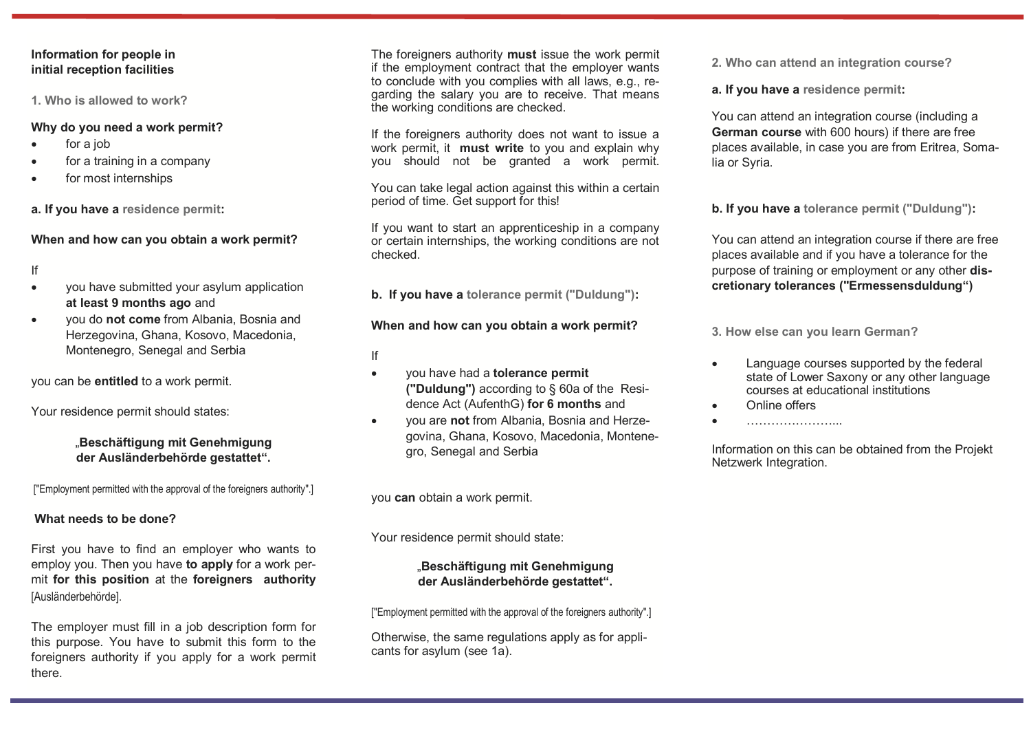### **Information for people in initial reception facilities**

**1. Who is allowed to work?** 

### **Why do you need a work permit?**

- for a job
- for a training in a company
- for most internships

**a. If you have a residence permit:**

## **When and how can you obtain a work permit?**

If

- vou have submitted your asylum application **at least 9 months ago** and
- you do **not come** from Albania, Bosnia and Herzegovina, Ghana, Kosovo, Macedonia, Montenegro, Senegal and Serbia

you can be **entitled** to a work permit.

Your residence permit should states:

## "**Beschäftigung mit Genehmigung der Ausländerbehörde gestattet".**

["Employment permitted with the approval of the foreigners authority".]

# **What needs to be done?**

First you have to find an employer who wants to employ you. Then you have **to apply** for a work permit **for this position** at the **foreigners authority**  [Ausländerbehörde].

The employer must fill in a job description form for this purpose. You have to submit this form to the foreigners authority if you apply for a work permit there.

The foreigners authority **must** issue the work permit if the employment contract that the employer wants to conclude with you complies with all laws, e.g., regarding the salary you are to receive. That means the working conditions are checked.

If the foreigners authority does not want to issue a work permit, it **must write** to you and explain why you should not be granted a work permit.

You can take legal action against this within a certain period of time. Get support for this!

If you want to start an apprenticeship in a company or certain internships, the working conditions are not checked.

**b. If you have a tolerance permit ("Duldung"):**

# **When and how can you obtain a work permit?**

- If
- you have had a **tolerance permit ("Duldung")** according to § 60a of the Residence Act (AufenthG) **for 6 months** and
- you are **not** from Albania, Bosnia and Herzegovina, Ghana, Kosovo, Macedonia, Montenegro, Senegal and Serbia

you **can** obtain a work permit.

Your residence permit should state:

## "**Beschäftigung mit Genehmigung der Ausländerbehörde gestattet".**

["Employment permitted with the approval of the foreigners authority".]

Otherwise, the same regulations apply as for applicants for asylum (see 1a).

**2. Who can attend an integration course?**

**a. If you have a residence permit:**

You can attend an integration course (including a **German course** with 600 hours) if there are free places available, in case you are from Eritrea, Somalia or Syria.

**b. If you have a tolerance permit ("Duldung"):**

You can attend an integration course if there are free places available and if you have a tolerance for the purpose of training or employment or any other **discretionary tolerances ("Ermessensduldung")** 

**3. How else can you learn German?**

- Language courses supported by the federal state of Lower Saxony or any other language courses at educational institutions
- Online offers
- …………………...

Information on this can be obtained from the Projekt Netzwerk Integration.